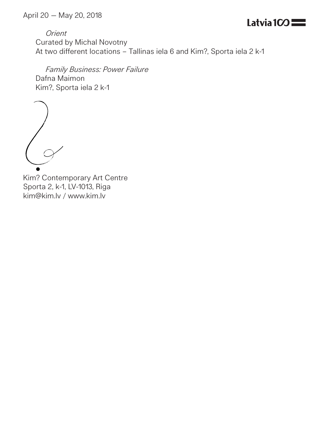April 20 — May 20, 2018

# Latvia 100:

 *Orient*  Curated by Michal Novotny At two different locations – Tallinas iela 6 and Kim?, Sporta iela 2 k-1

*Family Business: Power Failure* Dafna Maimon Kim?, Sporta iela 2 k-1

Kim? Contemporary Art Centre Sporta 2, k-1, LV-1013, Riga kim@kim.lv / www.kim.lv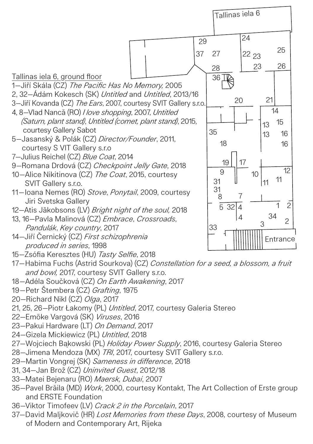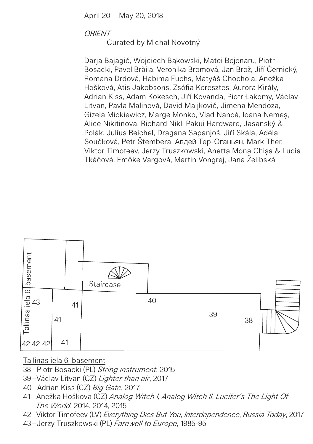April 20 – May 20, 2018

*ORIENT*

Curated by Michal Novotný

Darja Bajagić, Wojciech Bąkowski, Matei Bejenaru, Piotr Bosacki, Pavel Brăila, Veronika Bromová, Jan Brož, Jiří Černický, Romana Drdová, Habima Fuchs, Matyáš Chochola, Anežka Hošková, Atis Jākobsons, Zsófia Keresztes, Aurora Király, Adrian Kiss, Adam Kokesch, Jiří Kovanda, Piotr Łakomy, Václav Litvan, Pavla Malinová, David Maljkovič, Jimena Mendoza, Gizela Mickiewicz, Marge Monko, Vlad Nancă, Ioana Nemeş, Alice Nikitinova, Richard Nikl, Pakui Hardware, Jasanský & Polák, Julius Reichel, Dragana Sapanjoš, Jiří Skála, Adéla Součková, Petr Štembera, Aвдeй Tep-Oгaньян, Mark Ther, Viktor Timofeev, Jerzy Truszkowski, Anetta Mona Chişa & Lucia Tkáčová, Emöke Vargová, Martin Vongrej, Jana Želibská



Tallinas iela 6, basement

- 38—Piotr Bosacki (PL) *String instrument*, 2015
- 39—Václav Litvan (CZ) *Lighter than air*, 2017
- 40—Adrian Kiss (CZ) *Big Gate*, 2017
- 41—Anežka Hoškova (CZ) *Analog Witch I, Analog Witch II*, *Lucifer´s The Light Of The World*, 2014, 2014, 2015
- 42—Viktor Timofeev (LV) *Everything Dies But You*, *Interdependence*, *Russia Today*, 2017
-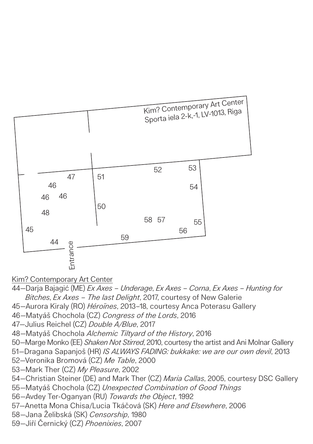

## Kim? Contemporary Art Center

44—Darja Bajagić (ME) *Ex Axes – Underage*, *Ex Axes – Corna*, *Ex Axes – Hunting for Bitches*, *Ex Axes – The last Delight*, 2017, courtesy of New Galerie

- 45—Aurora Kiraly (RO) *Héroïnes*, 2013–18, courtesy Anca Poterasu Gallery
- 46—Matyáš Chochola (CZ) *Congress of the Lords*, 2016
- 47—Julius Reichel (CZ) *Double A/Blue*, 2017
- 48—Matyáš Chochola *Alchemic Tiltyard of the History*, 2016
- 50—Marge Monko (EE) *Shaken Not Stirred*, 2010, courtesy the artist and Ani Molnar Gallery
- 51—Dragana Sapanjoš (HR) *IS ALWAYS FADING: bukkake: we are our own devil*, 2013
- 52—Veronika Bromová (CZ) *Me Table*, 2000
- 53—Mark Ther (CZ) *My Pleasure*, 2002
- 54—Christian Steiner (DE) and Mark Ther (CZ) *Maria Callas*, 2005, courtesy DSC Gallery
- 55—Matyáš Chochola (CZ) *Unexpected Combination of Good Things*
- 56—Avdey Ter-Oganyan (RU) *Towards the Object*, 1992
- 57—Anetta Mona Chisa/Lucia Tkáčová (SK) *Here and Elsewhere*, 2006
- 58—Jana Želibská (SK) *Censorship*, 1980
- 59—Jiří Černický (CZ) *Phoenixies*, 2007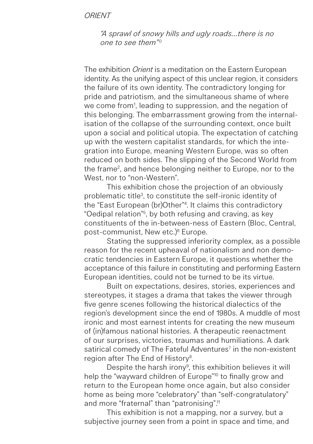#### *ORIENT*

*"A sprawl of snowy hills and ugly roads…there is no*  one to see them"<sup>0</sup>

The exhibition *Orient* is a meditation on the Eastern European identity. As the unifying aspect of this unclear region, it considers the failure of its own identity. The contradictory longing for pride and patriotism, and the simultaneous shame of where we come from<sup>1</sup>, leading to suppression, and the negation of this belonging. The embarrassment growing from the internalisation of the collapse of the surrounding context, once built upon a social and political utopia. The expectation of catching up with the western capitalist standards, for which the integration into Europe, meaning Western Europe, was so often reduced on both sides. The slipping of the Second World from the frame<sup>2</sup>, and hence belonging neither to Europe, nor to the West, nor to "non-Western".

 This exhibition chose the projection of an obviously problematic title<sup>3</sup>, to constitute the self-ironic identity of the "East European (br)Other"<sup>4</sup> . It claims this contradictory "Oedipal relation"<sup>5</sup> , by both refusing and craving, as key constituents of the in-between-ness of Eastern (Bloc, Central, post-communist, New etc.)<sup>6</sup> Europe.

 Stating the suppressed inferiority complex, as a possible reason for the recent upheaval of nationalism and non democratic tendencies in Eastern Europe, it questions whether the acceptance of this failure in constituting and performing Eastern European identities, could not be turned to be its virtue.

 Built on expectations, desires, stories, experiences and stereotypes, it stages a drama that takes the viewer through five genre scenes following the historical dialectics of the region's development since the end of 1980s. A muddle of most ironic and most earnest intents for creating the new museum of (in)famous national histories. A therapeutic reenactment of our surprises, victories, traumas and humiliations. A dark satirical comedy of The Fateful Adventures<sup>7</sup> in the non-existent region after The End of History<sup>8</sup>.

Despite the harsh irony<sup>9</sup>, this exhibition believes it will help the "wayward children of Europe"<sup>10</sup> to finally grow and return to the European home once again, but also consider home as being more "celebratory" than "self-congratulatory" and more "fraternal" than "patronising".<sup>11</sup>

 This exhibition is not a mapping, nor a survey, but a subjective journey seen from a point in space and time, and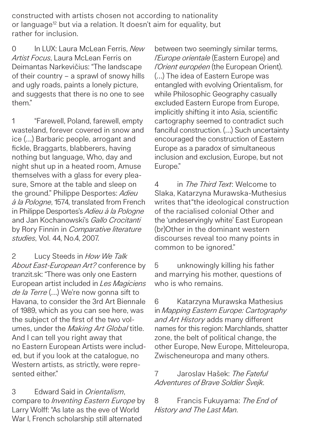constructed with artists chosen not according to nationality or language<sup>12</sup> but via a relation. It doesn't aim for equality, but rather for inclusion.

0 In LUX: Laura McLean Ferris, *New Artist Focus*, Laura McLean Ferris on Deimantas Narkevičius: "The landscape of their country – a sprawl of snowy hills and ugly roads, paints a lonely picture, and suggests that there is no one to see them."

1 "Farewell, Poland, farewell, empty wasteland, forever covered in snow and ice (…) Barbaric people, arrogant and fickle, Braggarts, blabberers, having nothing but language, Who, day and night shut up in a heated room, Amuse themselves with a glass for every pleasure, Smore at the table and sleep on the ground." Philippe Desportes: *Adieu à la Pologne*, 1574, translated from French in Philippe Desportes's *Adieu à la Pologne* and Jan Kochanowski's *Gallo Crocitanti* by Rory Finnin in *Comparative literature studies*, Vol. 44, No.4, 2007.

2 Lucy Steeds in *How We Talk About East-European Art?* conference by tranzit.sk: "There was only one Eastern European artist included in *Les Magiciens de la Terre* (…) We're now gonna sift to Havana, to consider the 3rd Art Biennale of 1989, which as you can see here, was the subject of the first of the two volumes, under the *Making Art Global* title. And I can tell you right away that no Eastern European Artists were included, but if you look at the catalogue, no Western artists, as strictly, were represented either."

3 Edward Said in *Orientalism*, compare to *Inventing Eastern Europe* by Larry Wolff: "As late as the eve of World War I, French scholarship still alternated

between two seemingly similar terms, *l'Europe orientale* (Eastern Europe) and *l'Orient européen* (the European Orient). (…) The idea of Eastern Europe was entangled with evolving Orientalism, for while Philosophic Geography casually excluded Eastern Europe from Europe, implicitly shifting it into Asia, scientific cartography seemed to contradict such fanciful construction. (…) Such uncertainty encouraged the construction of Eastern Europe as a paradox of simultaneous inclusion and exclusion, Europe, but not Europe."

4 in *The Third Text*: Welcome to Slaka, Katarzyna Murawska-Muthesius writes that"the ideological construction of the racialised colonial Other and the 'undeservingly white' East European (br)Other in the dominant western discourses reveal too many points in common to be ignored."

5 unknowingly killing his father and marrying his mother, questions of who is who remains.

6 Katarzyna Murawska Mathesius in *Mapping Eastern Europe: Cartography and Art History* adds many different names for this region: Marchlands, shatter zone, the belt of political change, the other Europe, New Europe, Mitteleuropa, Zwischeneuropa and many others.

7 Jaroslav Hašek: *The Fateful Adventures of Brave Soldier Švejk*.

8 Francis Fukuyama: *The End of History and The Last Man*.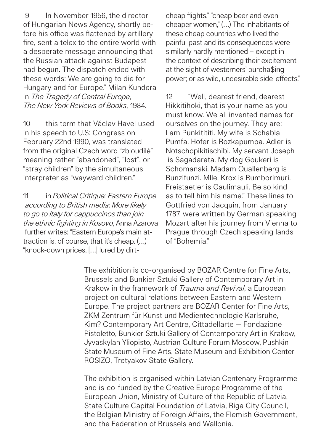9 In November 1956, the director of Hungarian News Agency, shortly before his office was flattened by artillery fire, sent a telex to the entire world with a desperate message announcing that the Russian attack against Budapest had begun. The dispatch ended with these words: We are going to die for Hungary and for Europe." Milan Kundera in *The Tragedy of Central Europe*, *The New York Reviews of Books*, 1984.

10 this term that Václav Havel used in his speech to U.S: Congress on February 22nd 1990, was translated from the original Czech word "zbloudilé" meaning rather "abandoned", "lost", or "stray children" by the simultaneous interpreter as "wayward children."

11 in *Political Critique: Eastern Europe according to British media*: *More likely to go to Italy for cappuccinos than join the ethnic fighting in Kosovo*, Anna Azarova further writes: "Eastern Europe's main attraction is, of course, that it's cheap. (…) "knock-down prices, […] lured by dirtcheap flights," "cheap beer and even cheaper women," (…) The inhabitants of these cheap countries who lived the painful past and its consequences were similarly hardly mentioned – except in the context of describing their excitement at the sight of westerners' purcha\$ing power; or as wild, undesirable side-effects."

12 "Well, dearest friend, dearest Hikkitihoki, that is your name as you must know. We all invented names for ourselves on the journey. They are: I am Punkitititi. My wife is Schabla Pumfa. Hofer is Rozkapumpa. Adler is Notschopikitischibi. My servant Joseph is Sagadarata. My dog Goukeri is Schomanski. Madam Quallenberg is Runzifunzi. Mlle. Krox is Rumborimuri. Freistaetler is Gaulimauli. Be so kind as to tell him his name." These lines to Gottfried von Jacquin, from January 1787, were written by German speaking Mozart after his journey from Vienna to Prague through Czech speaking lands of "Bohemia."

The exhibition is co-organised by BOZAR Centre for Fine Arts, Brussels and Bunkier Sztuki Gallery of Contemporary Art in Krakow in the framework of *Trauma and Revival*, a European project on cultural relations between Eastern and Western Europe. The project partners are BOZAR Center for Fine Arts, ZKM Zentrum für Kunst und Medientechnologie Karlsruhe, Kim? Contemporary Art Centre, Cittadellarte — Fondazione Pistoletto, Bunkier Sztuki Gallery of Contemporary Art in Krakow, Jyvaskylan Yliopisto, Austrian Culture Forum Moscow, Pushkin State Museum of Fine Arts, State Museum and Exhibition Center ROSIZO, Tretyakov State Gallery.

The exhibition is organised within Latvian Centenary Programme and is co-funded by the Creative Europe Programme of the European Union, Ministry of Culture of the Republic of Latvia, State Culture Capital Foundation of Latvia, Riga City Council, the Belgian Ministry of Foreign Affairs, the Flemish Government, and the Federation of Brussels and Wallonia.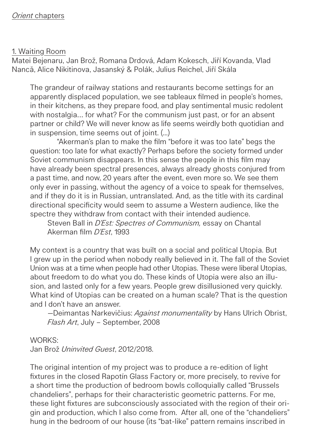### 1. Waiting Room

Matei Bejenaru, Jan Brož, Romana Drdová, Adam Kokesch, Jiří Kovanda, Vlad Nancă, Alice Nikitinova, Jasanský & Polák, Julius Reichel, Jiří Skála

The grandeur of railway stations and restaurants become settings for an apparently displaced population, we see tableaux filmed in people's homes, in their kitchens, as they prepare food, and play sentimental music redolent with nostalgia… for what? For the communism just past, or for an absent partner or child? We will never know as life seems weirdly both quotidian and in suspension, time seems out of joint. (...)

 "Akerman's plan to make the film "before it was too late" begs the question: too late for what exactly? Perhaps before the society formed under Soviet communism disappears. In this sense the people in this film may have already been spectral presences, always already ghosts conjured from a past time, and now, 20 years after the event, even more so. We see them only ever in passing, without the agency of a voice to speak for themselves, and if they do it is in Russian, untranslated. And, as the title with its cardinal directional specificity would seem to assume a Western audience, like the spectre they withdraw from contact with their intended audience.

Steven Ball in *D'Est: Spectres of Communism,* essay on Chantal Akerman film *D'Est*, 1993

My context is a country that was built on a social and political Utopia. But I grew up in the period when nobody really believed in it. The fall of the Soviet Union was at a time when people had other Utopias. These were liberal Utopias, about freedom to do what you do. These kinds of Utopia were also an illusion, and lasted only for a few years. People grew disillusioned very quickly. What kind of Utopias can be created on a human scale? That is the question and I don't have an answer.

—Deimantas Narkevičius: *Against monumentality* by Hans Ulrich Obrist, *Flash Art*, July – September, 2008

WORKS:

Jan Brož *Uninvited Guest*, 2012/2018.

The original intention of my project was to produce a re-edition of light fixtures in the closed Rapotín Glass Factory or, more precisely, to revive for a short time the production of bedroom bowls colloquially called "Brussels chandeliers", perhaps for their characteristic geometric patterns. For me, these light fixtures are subconsciously associated with the region of their origin and production, which I also come from. After all, one of the "chandeliers" hung in the bedroom of our house (its "bat-like" pattern remains inscribed in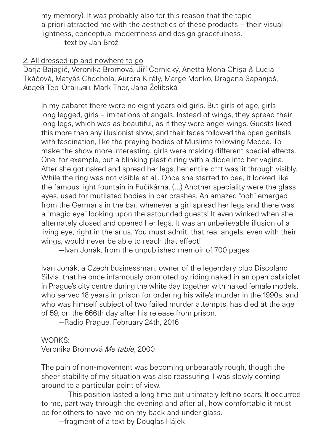my memory). It was probably also for this reason that the topic a priori attracted me with the aesthetics of these products – their visual lightness, conceptual modernness and design gracefulness. —text by Jan Brož

### 2. All dressed up and nowhere to go

Darja Bajagić, Veronika Bromová, Jiří Černický, Anetta Mona Chişa & Lucia Tkáčová, Matyáš Chochola, Aurora Király, Marge Monko, Dragana Sapanjoš, Aвдeй Tep-Oгaньян, Mark Ther, Jana Želibská

In my cabaret there were no eight years old girls. But girls of age, girls – long legged, girls – imitations of angels. Instead of wings, they spread their long legs, which was as beautiful, as if they were angel wings. Guests liked this more than any illusionist show, and their faces followed the open genitals with fascination, like the praying bodies of Muslims following Mecca. To make the show more interesting, girls were making different special effects. One, for example, put a blinking plastic ring with a diode into her vagina. After she got naked and spread her legs, her entire c<sup>\*\*</sup>t was lit through visibly. While the ring was not visible at all. Once she started to pee, it looked like the famous light fountain in Fučíkárna. (…) Another speciality were the glass eyes, used for mutilated bodies in car crashes. An amazed "ooh" emerged from the Germans in the bar, whenever a girl spread her legs and there was a "magic eye" looking upon the astounded guests! It even winked when she alternately closed and opened her legs. It was an unbelievable illusion of a living eye, right in the anus. You must admit, that real angels, even with their wings, would never be able to reach that effect!

—Ivan Jonák, from the unpublished memoir of 700 pages

Ivan Jonák, a Czech businessman, owner of the legendary club Discoland Silvia, that he once infamously promoted by riding naked in an open cabriolet in Prague's city centre during the white day together with naked female models, who served 18 years in prison for ordering his wife's murder in the 1990s, and who was himself subject of two failed murder attempts, has died at the age of 59, on the 666th day after his release from prison.

—Radio Prague, February 24th, 2016

WORKS:

Veronika Bromová *Me table*, 2000

The pain of non-movement was becoming unbearably rough, though the sheer stability of my situation was also reassuring. I was slowly coming around to a particular point of view.

 This position lasted a long time but ultimately left no scars. It occurred to me, part way through the evening and after all, how comfortable it must be for others to have me on my back and under glass.

—fragment of a text by Douglas Hájek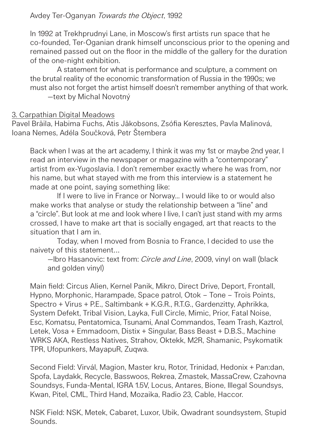## Avdey Ter-Oganyan *Towards the Object*, 1992

In 1992 at Trekhprudnyi Lane, in Moscow's first artists run space that he co-founded, Ter-Oganian drank himself unconscious prior to the opening and remained passed out on the floor in the middle of the gallery for the duration of the one-night exhibition.

 A statement for what is performance and sculpture, a comment on the brutal reality of the economic transformation of Russia in the 1990s; we must also not forget the artist himself doesn't remember anything of that work. —text by Michal Novotný

#### 3. Carpathian Digital Meadows

Pavel Brăila, Habima Fuchs, Atis Jākobsons, Zsófia Keresztes, Pavla Malinová, Ioana Nemes, Adéla Součková, Petr Štembera

Back when I was at the art academy, I think it was my 1st or maybe 2nd year, I read an interview in the newspaper or magazine with a "contemporary" artist from ex-Yugoslavia. I don't remember exactly where he was from, nor his name, but what stayed with me from this interview is a statement he made at one point, saying something like:

 If I were to live in France or Norway... I would like to or would also make works that analyse or study the relationship between a "line" and a "circle". But look at me and look where I live, I can't just stand with my arms crossed, I have to make art that is socially engaged, art that reacts to the situation that I am in.

 Today, when I moved from Bosnia to France, I decided to use the naivety of this statement…

—Ibro Hasanovic: text from: *Circle and Line*, 2009, vinyl on wall (black and golden vinyl)

Main field: Circus Alien, Kernel Panik, Mikro, Direct Drive, Deport, Frontall, Hypno, Morphonic, Harampade, Space patrol, Otok – Tone – Trois Points, Spectro + Virus + P.E., Saltimbank + K.G.R., R.T.G., Gardenzitty, Aphrikka, System Defekt, Tribal Vision, Layka, Full Circle, Mimic, Prior, Fatal Noise, Esc, Komatsu, Pentatomica, Tsunami, Anal Commandos, Team Trash, Kaztrol, Letek, Vosa + Emmadoom, Distix + Singular, Bass Beast + D.B.S., Machine WRKS AKA, Restless Natives, Strahov, Oktekk, M2R, Shamanic, Psykomatik TPR, Ufopunkers, MayapuR, Zuqwa.

Second Field: Virvál, Magion, Master kru, Rotor, Trinidad, Hedonix + Pan:dan, Spofa, Laydakk, Recycle, Basswoos, Rekrea, Zmastek, MassaCrew, Czahovna Soundsys, Funda-Mental, IGRA 1.5V, Locus, Antares, Bione, Illegal Soundsys, Kwan, Pitel, CML, Third Hand, Mozaika, Radio 23, Cable, Haccor.

NSK Field: NSK, Metek, Cabaret, Luxor, Ubik, Qwadrant soundsystem, Stupid Sounds.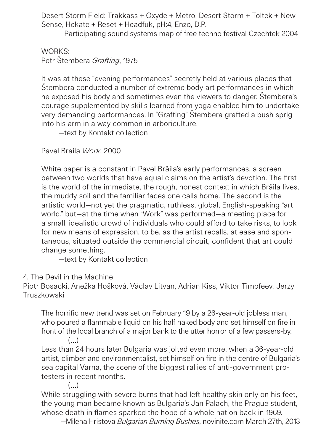Desert Storm Field: Trakkass + Oxyde + Metro, Desert Storm + Toltek + New Sense, Hekate + Reset + Headfuk, pH:4, Enzo, D.P.

—Participating sound systems map of free techno festival Czechtek 2004

WORKS: Petr Štembera *Grafting*, 1975

It was at these "evening performances" secretly held at various places that Štembera conducted a number of extreme body art performances in which he exposed his body and sometimes even the viewers to danger. Štembera's courage supplemented by skills learned from yoga enabled him to undertake very demanding performances. In "Grafting" Štembera grafted a bush sprig into his arm in a way common in arboriculture.

—text by Kontakt collection

Pavel Braila *Work*, 2000

White paper is a constant in Pavel Brăila's early performances, a screen between two worlds that have equal claims on the artist's devotion. The first is the world of the immediate, the rough, honest context in which Brăila lives, the muddy soil and the familiar faces one calls home. The second is the artistic world—not yet the pragmatic, ruthless, global, English-speaking "art world," but—at the time when "Work" was performed—a meeting place for a small, idealistic crowd of individuals who could afford to take risks, to look for new means of expression, to be, as the artist recalls, at ease and spontaneous, situated outside the commercial circuit, confident that art could change something.

—text by Kontakt collection

## 4. The Devil in the Machine

Piotr Bosacki, Anežka Hošková, Václav Litvan, Adrian Kiss, Viktor Timofeev, Jerzy Truszkowski

The horrific new trend was set on February 19 by a 26-year-old jobless man, who poured a flammable liquid on his half naked body and set himself on fire in front of the local branch of a major bank to the utter horror of a few passers-by. (…)

Less than 24 hours later Bulgaria was jolted even more, when a 36-year-old artist, climber and environmentalist, set himself on fire in the centre of Bulgaria's sea capital Varna, the scene of the biggest rallies of anti-government protesters in recent months.

 $\left(\begin{matrix} \cdot & \cdot \\ \cdot & \cdot \end{matrix}\right)$ 

While struggling with severe burns that had left healthy skin only on his feet, the young man became known as Bulgaria's Jan Palach, the Prague student, whose death in flames sparked the hope of a whole nation back in 1969.

—Milena Hristova *Bulgarian Burning Bushes*, novinite.com March 27th, 2013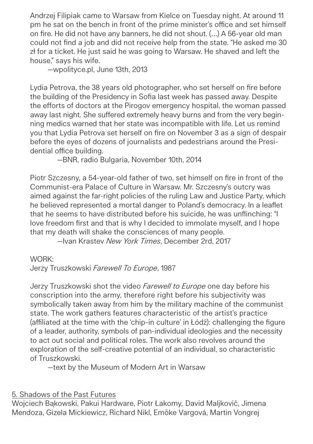Andrzej Filipiak came to Warsaw from Kielce on Tuesday night. At around 11 pm he sat on the bench in front of the prime minister's office and set himself on fire. He did not have any banners, he did not shout. (…) A 56-year old man could not find a job and did not receive help from the state. "He asked me 30 zł for a ticket. He just said he was going to Warsaw. He shaved and left the house," says his wife.

—wpolityce.pl, June 13th, 2013

Lydia Petrova, the 38 years old photographer, who set herself on fire before the building of the Presidency in Sofia last week has passed away. Despite the efforts of doctors at the Pirogov emergency hospital, the woman passed away last night. She suffered extremely heavy burns and from the very beginning medics warned that her state was incompatible with life. Let us remind you that Lydia Petrova set herself on fire on November 3 as a sign of despair before the eyes of dozens of journalists and pedestrians around the Presidential office building.

—BNR, radio Bulgaria, November 10th, 2014

Piotr Szczesny, a 54-year-old father of two, set himself on fire in front of the Communist-era Palace of Culture in Warsaw. Mr. Szczesny's outcry was aimed against the far-right policies of the ruling Law and Justice Party, which he believed represented a mortal danger to Poland's democracy. In a leaflet that he seems to have distributed before his suicide, he was unflinching: "I love freedom first and that is why I decided to immolate myself, and I hope that my death will shake the consciences of many people.

—Ivan Krastev *New York Times*, December 2rd, 2017

WORK:

Jerzy Truszkowski *Farewell To Europe*, 1987

Jerzy Truszkowski shot the video *Farewell to Europe* one day before his conscription into the army, therefore right before his subjectivity was symbolically taken away from him by the military machine of the communist state. The work gathers features characteristic of the artist's practice (affiliated at the time with the 'chip-in culture' in Łódź): challenging the figure of a leader, authority, symbols of pan-individual ideologies and the necessity to act out social and political roles. The work also revolves around the exploration of the self-creative potential of an individual, so characteristic of Truszkowski.

—text by the Museum of Modern Art in Warsaw

## 5. Shadows of the Past Futures

Wojciech Bąkowski, Pakui Hardware, Piotr Łakomy, David Maljkovič, Jimena Mendoza, Gizela Mickiewicz, Richard Nikl, Emöke Vargová, Martin Vongrej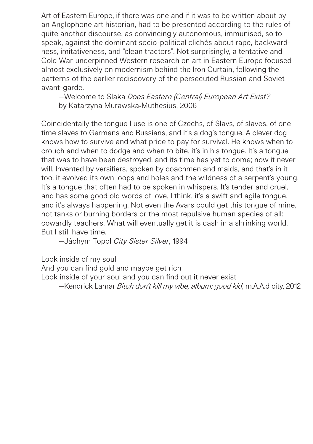Art of Eastern Europe, if there was one and if it was to be written about by an Anglophone art historian, had to be presented according to the rules of quite another discourse, as convincingly autonomous, immunised, so to speak, against the dominant socio-political clichés about rape, backwardness, imitativeness, and "clean tractors". Not surprisingly, a tentative and Cold War-underpinned Western research on art in Eastern Europe focused almost exclusively on modernism behind the Iron Curtain, following the patterns of the earlier rediscovery of the persecuted Russian and Soviet avant-garde.

—Welcome to Slaka *Does Eastern (Central) European Art Exist?* by Katarzyna Murawska-Muthesius, 2006

Coincidentally the tongue I use is one of Czechs, of Slavs, of slaves, of onetime slaves to Germans and Russians, and it's a dog's tongue. A clever dog knows how to survive and what price to pay for survival. He knows when to crouch and when to dodge and when to bite, it's in his tongue. It's a tongue that was to have been destroyed, and its time has yet to come; now it never will. Invented by versifiers, spoken by coachmen and maids, and that's in it too, it evolved its own loops and holes and the wildness of a serpent's young. It's a tongue that often had to be spoken in whispers. It's tender and cruel, and has some good old words of love, I think, it's a swift and agile tongue, and it's always happening. Not even the Avars could get this tongue of mine, not tanks or burning borders or the most repulsive human species of all: cowardly teachers. What will eventually get it is cash in a shrinking world. But I still have time.

—Jáchym Topol *City Sister Silver*, 1994

Look inside of my soul And you can find gold and maybe get rich Look inside of your soul and you can find out it never exist —Kendrick Lamar *Bitch don't kill my vibe, album: good kid*, m.A.A.d city, 2012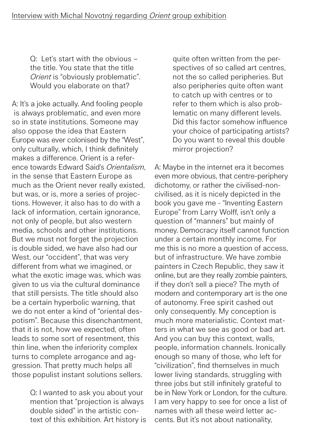Q: Let's start with the obvious – the title. You state that the title *Orient* is "obviously problematic". Would you elaborate on that?

A: It's a joke actually. And fooling people is always problematic, and even more so in state institutions. Someone may also oppose the idea that Eastern Europe was ever colonised by the "West", only culturally, which, I think definitely makes a difference. Orient is a reference towards Edward Said's *Orientalism*, in the sense that Eastern Europe as much as the Orient never really existed, but was, or is, more a series of projections. However, it also has to do with a lack of information, certain ignorance, not only of people, but also western media, schools and other institutions. But we must not forget the projection is double sided, we have also had our West, our "occident", that was very different from what we imagined, or what the exotic image was, which was given to us via the cultural dominance that still persists. The title should also be a certain hyperbolic warning, that we do not enter a kind of "oriental despotism". Because this disenchantment, that it is not, how we expected, often leads to some sort of resentment, this thin line, when the inferiority complex turns to complete arrogance and aggression. That pretty much helps all those populist instant solutions sellers.

> Q: I wanted to ask you about your mention that "projection is always double sided" in the artistic context of this exhibition. Art history is

quite often written from the perspectives of so called art centres, not the so called peripheries. But also peripheries quite often want to catch up with centres or to refer to them which is also problematic on many different levels. Did this factor somehow influence your choice of participating artists? Do you want to reveal this double mirror projection?

A: Maybe in the internet era it becomes even more obvious, that centre-periphery dichotomy, or rather the civilised-noncivilised, as it is nicely depicted in the book you gave me - "Inventing Eastern Europe" from Larry Wolff, isn't only a question of "manners" but mainly of money. Democracy itself cannot function under a certain monthly income. For me this is no more a question of access, but of infrastructure. We have zombie painters in Czech Republic, they saw it online, but are they really zombie painters, if they don't sell a piece? The myth of modern and contemporary art is the one of autonomy. Free spirit cashed out only consequently. My conception is much more materialistic. Context matters in what we see as good or bad art. And you can buy this context, walls, people, information channels. Ironically enough so many of those, who left for "civilization", find themselves in much lower living standards, struggling with three jobs but still infinitely grateful to be in New York or London, for the culture. I am very happy to see for once a list of names with all these weird letter accents. But it's not about nationality,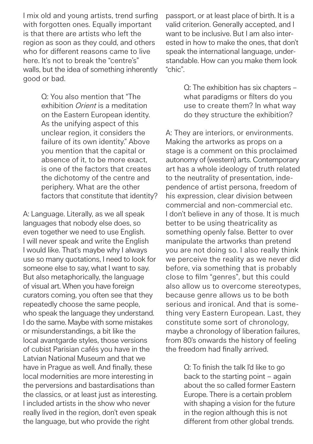I mix old and young artists, trend surfing with forgotten ones. Equally important is that there are artists who left the region as soon as they could, and others who for different reasons came to live here. It's not to break the "centre's" walls, but the idea of something inherently good or bad.

> Q: You also mention that "The exhibition *Orient* is a meditation on the Eastern European identity. As the unifying aspect of this unclear region, it considers the failure of its own identity." Above you mention that the capital or absence of it, to be more exact, is one of the factors that creates the dichotomy of the centre and periphery. What are the other factors that constitute that identity?

A: Language. Literally, as we all speak languages that nobody else does, so even together we need to use English. I will never speak and write the English I would like. That's maybe why I always use so many quotations, I need to look for someone else to say, what I want to say. But also metaphorically, the language of visual art. When you have foreign curators coming, you often see that they repeatedly choose the same people, who speak the language they understand. I do the same. Maybe with some mistakes or misunderstandings, a bit like the local avantgarde styles, those versions of cubist Parisian cafés you have in the Latvian National Museum and that we have in Prague as well. And finally, these local modernities are more interesting in the perversions and bastardisations than the classics, or at least just as interesting. I included artists in the show who never really lived in the region, don't even speak the language, but who provide the right

passport, or at least place of birth. It is a valid criterion. Generally accepted, and I want to be inclusive. But I am also interested in how to make the ones, that don't speak the international language, understandable. How can you make them look "chic".

> Q: The exhibition has six chapters – what paradigms or filters do you use to create them? In what way do they structure the exhibition?

A: They are interiors, or environments. Making the artworks as props on a stage is a comment on this proclaimed autonomy of (western) arts. Contemporary art has a whole ideology of truth related to the neutrality of presentation, independence of artist persona, freedom of his expression, clear division between commercial and non-commercial etc. I don't believe in any of those. It is much better to be using theatricality as something openly false. Better to over manipulate the artworks than pretend you are not doing so. I also really think we perceive the reality as we never did before, via something that is probably close to film "genres", but this could also allow us to overcome stereotypes, because genre allows us to be both serious and ironical. And that is something very Eastern European. Last, they constitute some sort of chronology, maybe a chronology of liberation failures, from 80's onwards the history of feeling the freedom had finally arrived.

> Q: To finish the talk I'd like to go back to the starting point – again about the so called former Eastern Europe. There is a certain problem with shaping a vision for the future in the region although this is not different from other global trends.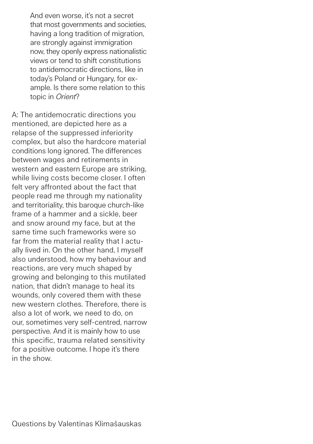And even worse, it's not a secret that most governments and societies, having a long tradition of migration, are strongly against immigration now, they openly express nationalistic views or tend to shift constitutions to antidemocratic directions, like in today's Poland or Hungary, for example. Is there some relation to this topic in *Orient*?

A: The antidemocratic directions you mentioned, are depicted here as a relapse of the suppressed inferiority complex, but also the hardcore material conditions long ignored. The differences between wages and retirements in western and eastern Europe are striking, while living costs become closer. I often felt very affronted about the fact that people read me through my nationality and territoriality, this baroque church-like frame of a hammer and a sickle, beer and snow around my face, but at the same time such frameworks were so far from the material reality that I actually lived in. On the other hand, I myself also understood, how my behaviour and reactions, are very much shaped by growing and belonging to this mutilated nation, that didn't manage to heal its wounds, only covered them with these new western clothes. Therefore, there is also a lot of work, we need to do, on our, sometimes very self-centred, narrow perspective. And it is mainly how to use this specific, trauma related sensitivity for a positive outcome. I hope it's there in the show.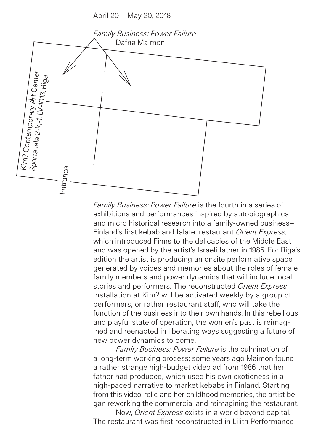April 20 – May 20, 2018



*Family Business: Power Failure* is the fourth in a series of exhibitions and performances inspired by autobiographical and micro historical research into a family-owned business– Finland's first kebab and falafel restaurant *Orient Express*, which introduced Finns to the delicacies of the Middle East and was opened by the artist's Israeli father in 1985. For Riga's edition the artist is producing an onsite performative space generated by voices and memories about the roles of female family members and power dynamics that will include local stories and performers. The reconstructed *Orient Express* installation at Kim? will be activated weekly by a group of performers, or rather restaurant staff, who will take the function of the business into their own hands. In this rebellious and playful state of operation, the women's past is reimagined and reenacted in liberating ways suggesting a future of new power dynamics to come.

*Family Business: Power Failure* is the culmination of a long-term working process; some years ago Maimon found a rather strange high-budget video ad from 1986 that her father had produced, which used his own exoticness in a high-paced narrative to market kebabs in Finland. Starting from this video-relic and her childhood memories, the artist began reworking the commercial and reimagining the restaurant.

 Now, *Orient Express* exists in a world beyond capital. The restaurant was first reconstructed in Lilith Performance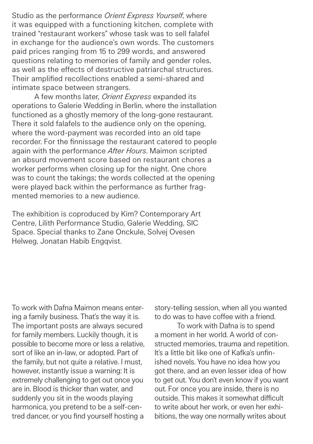Studio as the performance *Orient Express Yourself*, where it was equipped with a functioning kitchen, complete with trained "restaurant workers" whose task was to sell falafel in exchange for the audience's own words. The customers paid prices ranging from 15 to 299 words, and answered questions relating to memories of family and gender roles, as well as the effects of destructive patriarchal structures. Their amplified recollections enabled a semi-shared and intimate space between strangers.

 A few months later, *Orient Express* expanded its operations to Galerie Wedding in Berlin, where the installation functioned as a ghostly memory of the long-gone restaurant. There it sold falafels to the audience only on the opening, where the word-payment was recorded into an old tape recorder. For the finnissage the restaurant catered to people again with the performance *After Hours*. Maimon scripted an absurd movement score based on restaurant chores a worker performs when closing up for the night. One chore was to count the takings; the words collected at the opening were played back within the performance as further fragmented memories to a new audience.

The exhibition is coproduced by Kim? Contemporary Art Centre, Lilith Performance Studio, Galerie Wedding, SIC Space. Special thanks to Zane Onckule, Solvej Ovesen Helweg, Jonatan Habib Engqvist.

To work with Dafna Maimon means entering a family business. That's the way it is. The important posts are always secured for family members. Luckily though, it is possible to become more or less a relative, sort of like an in-law, or adopted. Part of the family, but not quite a relative. I must, however, instantly issue a warning: It is extremely challenging to get out once you are in. Blood is thicker than water, and suddenly you sit in the woods playing harmonica, you pretend to be a self-centred dancer, or you find yourself hosting a

story-telling session, when all you wanted to do was to have coffee with a friend.

 To work with Dafna is to spend a moment in her world. A world of constructed memories, trauma and repetition. It's a little bit like one of Kafka's unfinished novels. You have no idea how you got there, and an even lesser idea of how to get out. You don't even know if you want out. For once you are inside, there is no outside. This makes it somewhat difficult to write about her work, or even her exhibitions, the way one normally writes about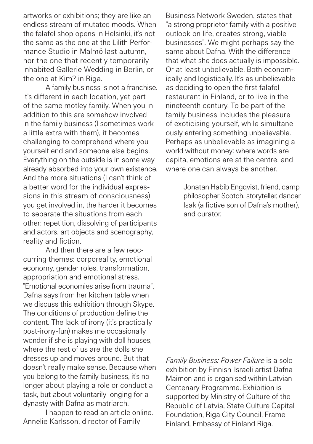artworks or exhibitions; they are like an endless stream of mutated moods. When the falafel shop opens in Helsinki, it's not the same as the one at the Lilith Performance Studio in Malmö last autumn, nor the one that recently temporarily inhabited Gallerie Wedding in Berlin, or the one at Kim? in Riga.

 A family business is not a franchise. It's different in each location, yet part of the same motley family. When you in addition to this are somehow involved in the family business (I sometimes work a little extra with them), it becomes challenging to comprehend where you yourself end and someone else begins. Everything on the outside is in some way already absorbed into your own existence. And the more situations (I can't think of a better word for the individual expressions in this stream of consciousness) you get involved in, the harder it becomes to separate the situations from each other: repetition, dissolving of participants and actors, art objects and scenography, reality and fiction.

 And then there are a few reoccurring themes: corporeality, emotional economy, gender roles, transformation, appropriation and emotional stress. "Emotional economies arise from trauma", Dafna says from her kitchen table when we discuss this exhibition through Skype. The conditions of production define the content. The lack of irony (it's practically post-irony-fun) makes me occasionally wonder if she is playing with doll houses, where the rest of us are the dolls she dresses up and moves around. But that doesn't really make sense. Because when you belong to the family business, it's no longer about playing a role or conduct a task, but about voluntarily longing for a dynasty with Dafna as matriarch.

 I happen to read an article online. Annelie Karlsson, director of Family

Business Network Sweden, states that "a strong proprietor family with a positive outlook on life, creates strong, viable businesses". We might perhaps say the same about Dafna. With the difference that what she does actually is impossible. Or at least unbelievable. Both economically and logistically. It's as unbelievable as deciding to open the first falafel restaurant in Finland, or to live in the nineteenth century. To be part of the family business includes the pleasure of exoticising yourself, while simultaneously entering something unbelievable. Perhaps as unbelievable as imagining a world without money: where words are capita, emotions are at the centre, and where one can always be another.

> Jonatan Habib Engqvist, friend, camp philosopher Scotch, storyteller, dancer Isak (a fictive son of Dafna's mother), and curator.

*Family Business: Power Failure* is a solo exhibition by Finnish-Israeli artist Dafna Maimon and is organised within Latvian Centenary Programme. Exhibition is supported by Ministry of Culture of the Republic of Latvia, State Culture Capital Foundation, Riga City Council, Frame Finland, Embassy of Finland Riga.